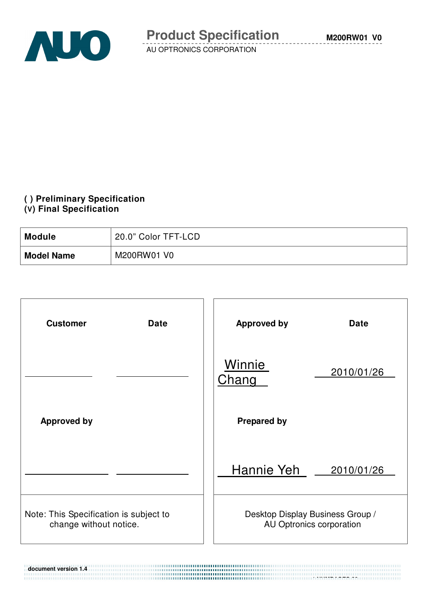

**M200RW01 V0**

AU OPTRONICS CORPORATION

### **( ) Preliminary Specification**

#### **(V) Final Specification**

**document version 1.4** 

| <b>Module</b>     | 20.0" Color TFT-LCD |
|-------------------|---------------------|
| <b>Model Name</b> | M200RW01 V0         |

| <b>Customer</b><br><b>Date</b>                                   | <b>Approved by</b><br><b>Date</b>                            |
|------------------------------------------------------------------|--------------------------------------------------------------|
|                                                                  | Winnie<br>2010/01/26<br><u>Chang</u>                         |
| <b>Approved by</b>                                               | <b>Prepared by</b>                                           |
|                                                                  | Hannie Yeh<br>2010/01/26                                     |
| Note: This Specification is subject to<br>change without notice. | Desktop Display Business Group /<br>AU Optronics corporation |

 **1 NUMPAGES 29**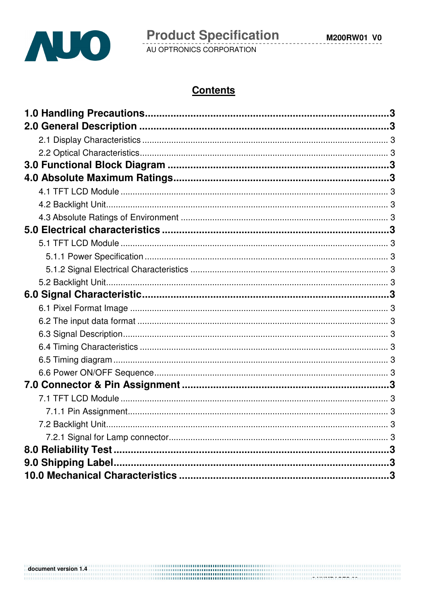

# **Contents**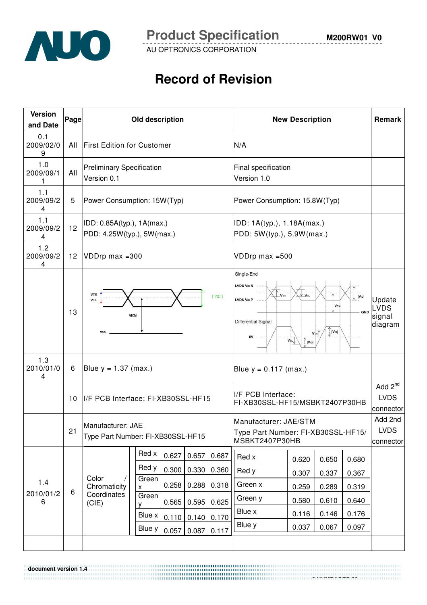

**document version 1.4** 

**M200RW01 V0**

AU OPTRONICS CORPORATION

# **Record of Revision**

| <b>Version</b><br>and Date | Page | Old description                                          |                |       |                        | <b>New Description</b> | Remark                                                                                                                                                                                                                                                                         |                |                |                |                                                 |
|----------------------------|------|----------------------------------------------------------|----------------|-------|------------------------|------------------------|--------------------------------------------------------------------------------------------------------------------------------------------------------------------------------------------------------------------------------------------------------------------------------|----------------|----------------|----------------|-------------------------------------------------|
| 0.1<br>2009/02/0<br>9      | All  | <b>First Edition for Customer</b>                        |                |       |                        |                        | N/A                                                                                                                                                                                                                                                                            |                |                |                |                                                 |
| 1.0<br>2009/09/1<br>1      | All  | <b>Preliminary Specification</b><br>Version 0.1          |                |       |                        |                        | Final specification<br>Version 1.0                                                                                                                                                                                                                                             |                |                |                |                                                 |
| 1.1<br>2009/09/2<br>4      | 5    | Power Consumption: 15W(Typ)                              |                |       |                        |                        | Power Consumption: 15.8W(Typ)                                                                                                                                                                                                                                                  |                |                |                |                                                 |
| 1.1<br>2009/09/2<br>4      | 12   | IDD: 0.85A(typ.), 1A(max.)<br>PDD: 4.25W(typ.), 5W(max.) |                |       |                        |                        | IDD: 1A(typ.), 1.18A(max.)<br>PDD: 5W(typ.), 5.9W(max.)                                                                                                                                                                                                                        |                |                |                |                                                 |
| 1.2<br>2009/09/2<br>4      | 12   | VDDrp max = 300                                          |                |       |                        |                        | VDDrp max =500                                                                                                                                                                                                                                                                 |                |                |                |                                                 |
|                            | 13   | VTH<br> VID <br>VTL<br>VICM<br>VSS                       |                |       |                        |                        | Single-End<br>LVDS VIN N<br>VTH<br>$V$ V <sub>TL</sub><br>$ V_D $<br>LVDS VIN P<br><b>V</b> <sub>CM</sub><br><b>GND</b><br>Differential Signal<br>$\int_{1}^{\Lambda}  V_{1D} $<br>$V_{TH}$<br>0V ---<br>$\overline{v_{\uparrow\!\iota}}\downarrow$<br>$\int_{1}^{T}  V_{1D} $ |                |                |                | Update<br><b>LVDS</b><br>signal<br>diagram      |
| 1.3<br>2010/01/0<br>4      | 6    | Blue $y = 1.37$ (max.)                                   |                |       |                        |                        | Blue $y = 0.117$ (max.)                                                                                                                                                                                                                                                        |                |                |                |                                                 |
|                            | 10   | I/F PCB Interface: FI-XB30SSL-HF15                       |                |       |                        |                        | I/F PCB Interface:<br>FI-XB30SSL-HF15/MSBKT2407P30HB                                                                                                                                                                                                                           |                |                |                | Add 2 <sup>nd</sup><br><b>LVDS</b><br>connector |
|                            | 21   | Manufacturer: JAE<br>Type Part Number: FI-XB30SSL-HF15   |                |       |                        |                        | Manufacturer: JAE/STM<br>Type Part Number: FI-XB30SSL-HF15/<br>MSBKT2407P30HB                                                                                                                                                                                                  |                |                |                | Add 2nd<br><b>LVDS</b><br>connector             |
|                            |      |                                                          | Red x<br>Red y | 0.627 | 0.657                  | 0.687                  | Red x                                                                                                                                                                                                                                                                          | 0.620          | 0.650          | 0.680          |                                                 |
| 1.4                        |      | Color                                                    | Green          | 0.300 | 0.330                  | 0.360                  | Red y<br>Green x                                                                                                                                                                                                                                                               | 0.307          | 0.337          | 0.367          |                                                 |
| 2010/01/2                  | 6    | Chromaticity<br>Coordinates                              | X<br>Green     | 0.258 | 0.288                  | 0.318                  | Green y                                                                                                                                                                                                                                                                        | 0.259<br>0.580 | 0.289<br>0.610 | 0.319<br>0.640 |                                                 |
| 6                          |      | (CIE)                                                    | ۷<br>Blue x    | 0.565 | 0.595                  | 0.625                  | Blue x                                                                                                                                                                                                                                                                         | 0.116          | 0.146          | 0.176          |                                                 |
|                            |      |                                                          | Blue y         | 0.057 | 0.110   0.140<br>0.087 | 0.170<br>0.117         | Blue y                                                                                                                                                                                                                                                                         | 0.037          | 0.067          | 0.097          |                                                 |
|                            |      |                                                          |                |       |                        |                        |                                                                                                                                                                                                                                                                                |                |                |                |                                                 |

 **3 NUMPAGES 29**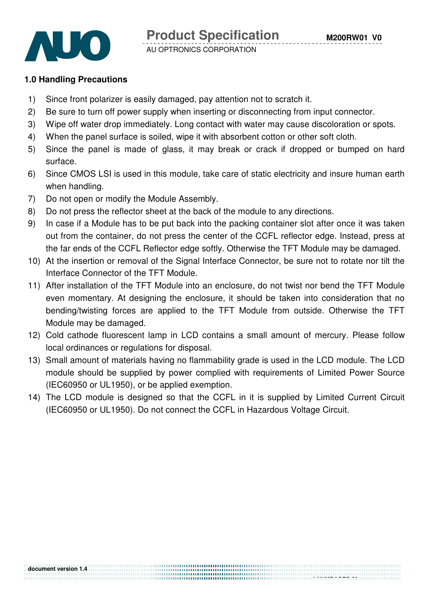

#### **1.0 Handling Precautions**

- 1) Since front polarizer is easily damaged, pay attention not to scratch it.
- 2) Be sure to turn off power supply when inserting or disconnecting from input connector.
- 3) Wipe off water drop immediately. Long contact with water may cause discoloration or spots.
- 4) When the panel surface is soiled, wipe it with absorbent cotton or other soft cloth.
- 5) Since the panel is made of glass, it may break or crack if dropped or bumped on hard surface.
- 6) Since CMOS LSI is used in this module, take care of static electricity and insure human earth when handling.
- 7) Do not open or modify the Module Assembly.
- 8) Do not press the reflector sheet at the back of the module to any directions.
- 9) In case if a Module has to be put back into the packing container slot after once it was taken out from the container, do not press the center of the CCFL reflector edge. Instead, press at the far ends of the CCFL Reflector edge softly. Otherwise the TFT Module may be damaged.
- 10) At the insertion or removal of the Signal Interface Connector, be sure not to rotate nor tilt the Interface Connector of the TFT Module.
- 11) After installation of the TFT Module into an enclosure, do not twist nor bend the TFT Module even momentary. At designing the enclosure, it should be taken into consideration that no bending/twisting forces are applied to the TFT Module from outside. Otherwise the TFT Module may be damaged.
- 12) Cold cathode fluorescent lamp in LCD contains a small amount of mercury. Please follow local ordinances or regulations for disposal.
- 13) Small amount of materials having no flammability grade is used in the LCD module. The LCD module should be supplied by power complied with requirements of Limited Power Source (IEC60950 or UL1950), or be applied exemption.
- 14) The LCD module is designed so that the CCFL in it is supplied by Limited Current Circuit (IEC60950 or UL1950). Do not connect the CCFL in Hazardous Voltage Circuit.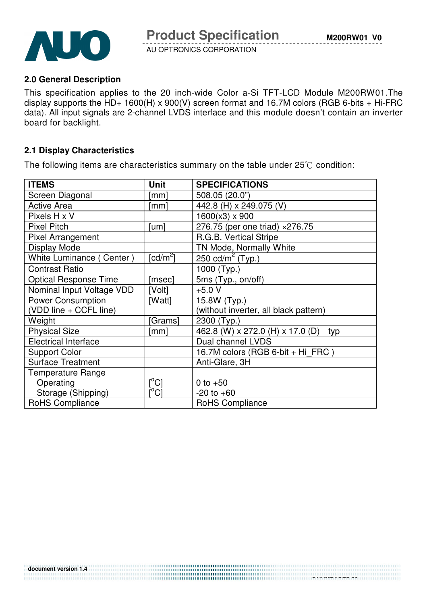

#### **2.0 General Description**

This specification applies to the 20 inch-wide Color a-Si TFT-LCD Module M200RW01.The display supports the  $HD+ 1600(H) \times 900(V)$  screen format and 16.7M colors (RGB 6-bits + Hi-FRC data). All input signals are 2-channel LVDS interface and this module doesn't contain an inverter board for backlight.

#### **2.1 Display Characteristics**

The following items are characteristics summary on the table under  $25^{\circ}$  condition:

| <b>ITEMS</b>                 | <b>Unit</b>                             | <b>SPECIFICATIONS</b>                   |
|------------------------------|-----------------------------------------|-----------------------------------------|
| Screen Diagonal              | [mm]                                    | 508.05 (20.0")                          |
| <b>Active Area</b>           | [mm]                                    | 442.8 (H) x 249.075 (V)                 |
| Pixels H x V                 |                                         | $1600(x3) \times 900$                   |
| <b>Pixel Pitch</b>           | [um]                                    | 276.75 (per one triad) ×276.75          |
| <b>Pixel Arrangement</b>     |                                         | R.G.B. Vertical Stripe                  |
| <b>Display Mode</b>          |                                         | TN Mode, Normally White                 |
| White Luminance (Center)     | $\lceil cd/m^2 \rceil$                  | 250 cd/m <sup>2</sup> (Typ.)            |
| <b>Contrast Ratio</b>        |                                         | 1000 (Typ.)                             |
| <b>Optical Response Time</b> | [msec]                                  | 5ms (Typ., on/off)                      |
| Nominal Input Voltage VDD    | [Volt]                                  | $+5.0 V$                                |
| <b>Power Consumption</b>     | [Watt]                                  | 15.8W (Typ.)                            |
| (VDD line + CCFL line)       |                                         | (without inverter, all black pattern)   |
| Weight                       | Grams]                                  | 2300 (Typ.)                             |
| <b>Physical Size</b>         | [mm]                                    | 462.8 (W) x 272.0 (H) x 17.0 (D)<br>typ |
| <b>Electrical Interface</b>  |                                         | Dual channel LVDS                       |
| <b>Support Color</b>         |                                         | 16.7M colors (RGB 6-bit + Hi FRC)       |
| <b>Surface Treatment</b>     |                                         | Anti-Glare, 3H                          |
| <b>Temperature Range</b>     |                                         |                                         |
| Operating                    | $[^{\circ}C]$                           | 0 to $+50$                              |
| Storage (Shipping)           | $\mathsf{I}^\circ\mathsf{C} \mathsf{I}$ | $-20$ to $+60$                          |
| <b>RoHS Compliance</b>       |                                         | <b>RoHS Compliance</b>                  |

 **5 NUMPAGES 29**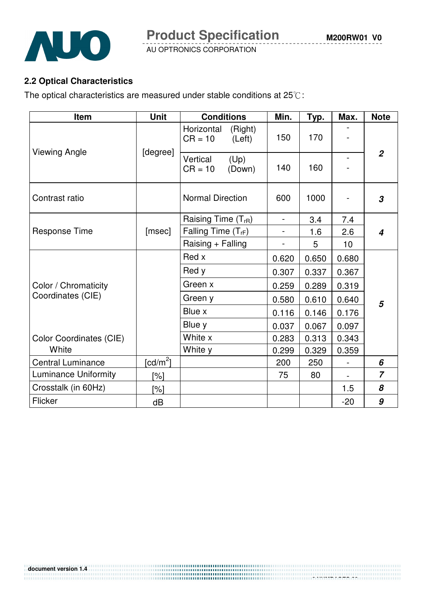

### **2.2 Optical Characteristics**

The optical characteristics are measured under stable conditions at  $25^{\circ}$ C:

| Item                        | <b>Unit</b>          | <b>Conditions</b>                            | Min.           | Typ.  | Max.           | <b>Note</b>    |
|-----------------------------|----------------------|----------------------------------------------|----------------|-------|----------------|----------------|
| <b>Viewing Angle</b>        |                      | Horizontal<br>(Right)<br>$CR = 10$<br>(Left) | 150            | 170   |                |                |
|                             | [degree]             | (Up)<br>Vertical<br>$CR = 10$<br>(Down)      | 140            | 160   |                | $\overline{2}$ |
| Contrast ratio              |                      | <b>Normal Direction</b>                      | 600            | 1000  |                | 3              |
|                             |                      | Raising Time $(T_{rR})$                      | $\blacksquare$ | 3.4   | 7.4            |                |
| Response Time               | [msec]               | Falling Time $(T_{rF})$                      | $\blacksquare$ | 1.6   | 2.6            | 4              |
|                             |                      | Raising + Falling                            | $\frac{1}{2}$  | 5     | 10             |                |
|                             |                      | Red x                                        | 0.620          | 0.650 | 0.680          |                |
|                             |                      | Red y                                        | 0.307          | 0.337 | 0.367          | 5              |
| Color / Chromaticity        |                      | Green x                                      | 0.259          | 0.289 | 0.319          |                |
| Coordinates (CIE)           |                      | Green y                                      | 0.580          | 0.610 | 0.640          |                |
|                             |                      | Blue x                                       | 0.116          | 0.146 | 0.176          |                |
|                             |                      | Blue y                                       | 0.037          | 0.067 | 0.097          |                |
| Color Coordinates (CIE)     |                      | White x                                      | 0.283          | 0.313 | 0.343          |                |
| White                       |                      | White y                                      | 0.299          | 0.329 | 0.359          |                |
| <b>Central Luminance</b>    | [cd/m <sup>2</sup> ] |                                              | 200            | 250   | $\blacksquare$ | 6              |
| <b>Luminance Uniformity</b> | [%]                  |                                              | 75             | 80    |                | $\overline{z}$ |
| Crosstalk (in 60Hz)         | [%]                  |                                              |                |       | 1.5            | 8              |
| Flicker                     | dB                   |                                              |                |       | $-20$          | 9              |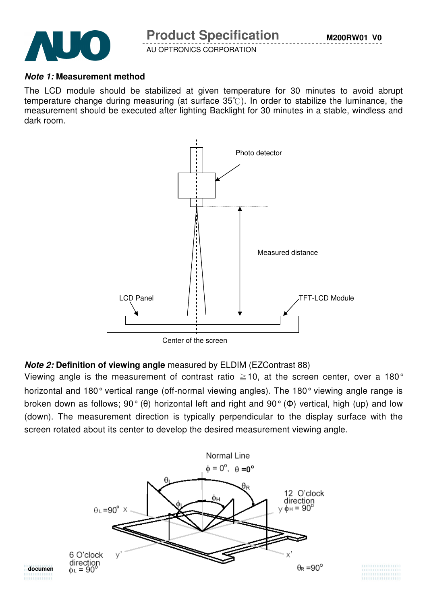

#### **Note 1: Measurement method**

The LCD module should be stabilized at given temperature for 30 minutes to avoid abrupt temperature change during measuring (at surface  $35^{\circ}$ ). In order to stabilize the luminance, the measurement should be executed after lighting Backlight for 30 minutes in a stable, windless and dark room.



#### **Note 2: Definition of viewing angle** measured by ELDIM (EZContrast 88)

Viewing angle is the measurement of contrast ratio  $\geq$  10, at the screen center, over a 180° horizontal and 180° vertical range (off-normal viewing angles). The 180° viewing angle range is broken down as follows; 90° (θ) horizontal left and right and 90° (Φ) vertical, high (up) and low (down). The measurement direction is typically perpendicular to the display surface with the screen rotated about its center to develop the desired measurement viewing angle.



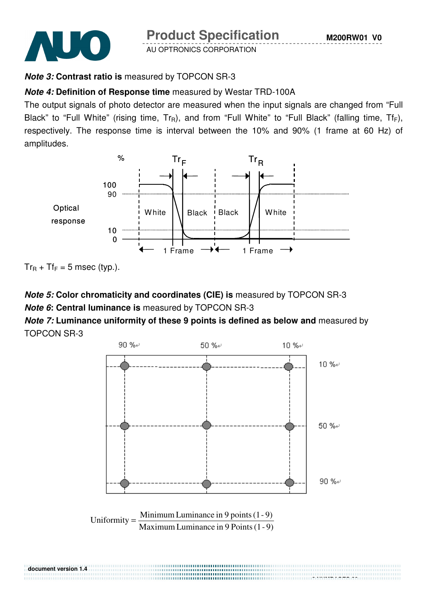

**Product Specification** 

AU OPTRONICS CORPORATION

# **Note 3: Contrast ratio is** measured by TOPCON SR-3

## **Note 4: Definition of Response time** measured by Westar TRD-100A

The output signals of photo detector are measured when the input signals are changed from "Full Black" to "Full White" (rising time,  $Tr_R$ ), and from "Full White" to "Full Black" (falling time,  $Tr_F$ ), respectively. The response time is interval between the 10% and 90% (1 frame at 60 Hz) of amplitudes.



 $Tr_R + Tr_F = 5$  msec (typ.).

**document version 1.4** 

## **Note 5: Color chromaticity and coordinates (CIE) is** measured by TOPCON SR-3 **Note 6: Central luminance is** measured by TOPCON SR-3

### **Note 7: Luminance uniformity of these 9 points is defined as below and** measured by TOPCON SR-3

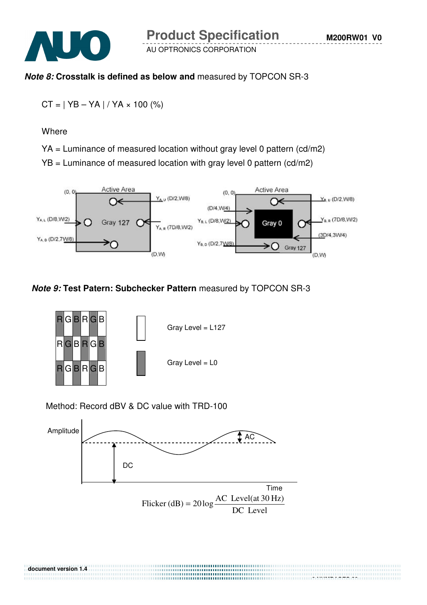

#### **Note 8: Crosstalk is defined as below and** measured by TOPCON SR-3

$$
CT = | YB - YA | / YA \times 100 \, (*)
$$

**Where** 

YA = Luminance of measured location without gray level 0 pattern (cd/m2)

 $YB =$  Luminance of measured location with gray level 0 pattern (cd/m2)



#### **Note 9: Test Patern: Subchecker Pattern** measured by TOPCON SR-3



Method: Record dBV & DC value with TRD-100



DC Level

**document version 1.4 9 NUMPAGES 29**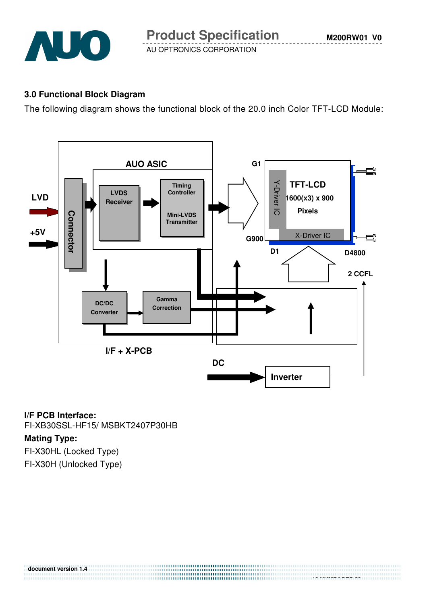

**M200RW01 V0**

AU OPTRONICS CORPORATION

#### **3.0 Functional Block Diagram**

The following diagram shows the functional block of the 20.0 inch Color TFT-LCD Module:



 **10 NUMPAGES 29**

#### **I/F PCB Interface:**

FI-XB30SSL-HF15/ MSBKT2407P30HB

#### **Mating Type:**

**document version 1.4** 

FI-X30HL (Locked Type) FI-X30H (Unlocked Type)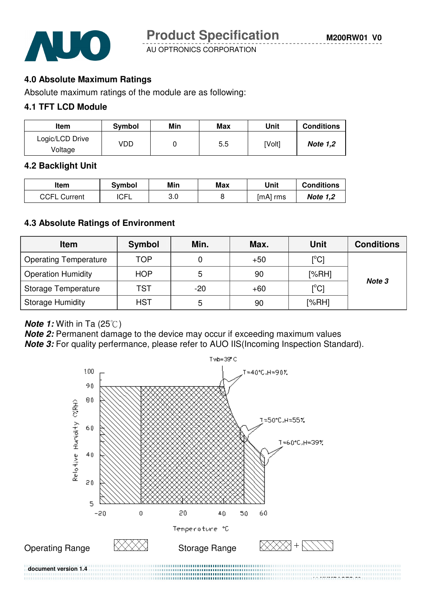

**M200RW01 V0**

AU OPTRONICS CORPORATION

#### **4.0 Absolute Maximum Ratings**

Absolute maximum ratings of the module are as following:

#### **4.1 TFT LCD Module**

| Item                       | <b>Symbol</b> | Min | Max | Unit   | <b>Conditions</b> |
|----------------------------|---------------|-----|-----|--------|-------------------|
| Logic/LCD Drive<br>Voltage | VDD           |     | 5.5 | [Volt] | <b>Note 1,2</b>   |

#### **4.2 Backlight Unit**

| ltem                | Svmbol      | Min | Max | Unit       | <b>Conditions</b> |
|---------------------|-------------|-----|-----|------------|-------------------|
| <b>CCFL Current</b> | <b>ICFL</b> | 3.0 |     | $[mA]$ rms | <b>Note 1,2</b>   |

#### **4.3 Absolute Ratings of Environment**

| <b>Item</b>                  | <b>Symbol</b> | Min.  | Max.  | <b>Unit</b>                | <b>Conditions</b> |
|------------------------------|---------------|-------|-------|----------------------------|-------------------|
| <b>Operating Temperature</b> | TOP           |       | $+50$ | $\rm [^{\circ}C]$          |                   |
| <b>Operation Humidity</b>    | <b>HOP</b>    | 5     | 90    | [%RH]                      |                   |
| Storage Temperature          | TST           | $-20$ | $+60$ | $\mathop{\rm [^{\circ}Cl}$ | Note 3            |
| <b>Storage Humidity</b>      | <b>HST</b>    | 5     | 90    | [%RH]                      |                   |

#### **Note 1:** With in Ta (25°C)

**Note 2:** Permanent damage to the device may occur if exceeding maximum values

**Note 3:** For quality perfermance, please refer to AUO IIS(Incoming Inspection Standard).

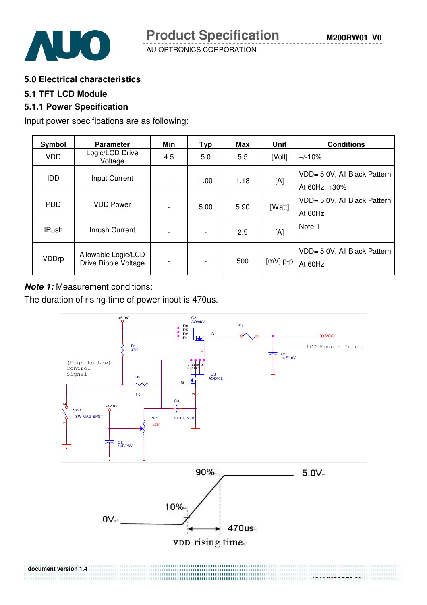

**5.0 Electrical characteristics** 

#### **5.1 TFT LCD Module**

#### **5.1.1 Power Specification**

Input power specifications are as following:

| Symbol       | <b>Parameter</b>                            | Min                      | <b>Typ</b> | Max  | <b>Unit</b> | <b>Conditions</b>                             |
|--------------|---------------------------------------------|--------------------------|------------|------|-------------|-----------------------------------------------|
| <b>VDD</b>   | Logic/LCD Drive<br>Voltage                  | 4.5                      | 5.0        | 5.5  | [Volt]      | $+/-10%$                                      |
| <b>IDD</b>   | Input Current                               | $\overline{\phantom{a}}$ | 1.00       | 1.18 | [A]         | VDD= 5.0V, All Black Pattern<br>At 60Hz, +30% |
| <b>PDD</b>   | <b>VDD Power</b>                            | $\overline{\phantom{a}}$ | 5.00       | 5.90 | [Watt]      | VDD= 5.0V, All Black Pattern<br>At 60Hz       |
| <b>IRush</b> | Inrush Current                              | $\overline{\phantom{a}}$ |            | 2.5  | [A]         | Note 1                                        |
| VDDrp        | Allowable Logic/LCD<br>Drive Ripple Voltage | $\overline{\phantom{a}}$ |            | 500  | $[mV]$ p-p  | VDD= 5.0V, All Black Pattern<br>At 60Hz       |

#### **Note 1:** Measurement conditions:

The duration of rising time of power input is 470us.

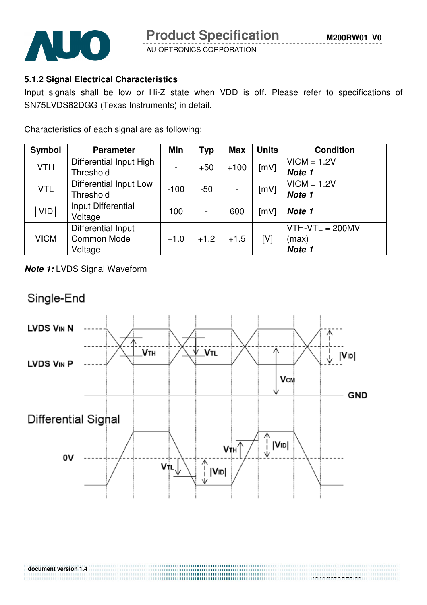

#### **5.1.2 Signal Electrical Characteristics**

Input signals shall be low or Hi-Z state when VDD is off. Please refer to specifications of SN75LVDS82DGG (Texas Instruments) in detail.

Characteristics of each signal are as following:

| Symbol      | <b>Parameter</b>        | <b>Min</b> | <b>Typ</b> | <b>Max</b> | <b>Units</b> | <b>Condition</b>  |
|-------------|-------------------------|------------|------------|------------|--------------|-------------------|
| <b>VTH</b>  | Differential Input High |            | $+50$      | $+100$     | [mV]         | $VICM = 1.2V$     |
|             | Threshold               |            |            |            |              | Note 1            |
|             | Differential Input Low  |            |            |            |              | $VICM = 1.2V$     |
| <b>VTL</b>  | Threshold               | $-100$     | -50        |            | [mV]         | Note 1            |
| <b>VID</b>  | Input Differential      | 100        |            | 600        |              | Note 1            |
|             | Voltage                 |            |            |            | [mV]         |                   |
|             | Differential Input      |            |            |            |              | $VTH-VTL = 200MV$ |
| <b>VICM</b> | <b>Common Mode</b>      | $+1.0$     | $+1.2$     | $+1.5$     | [V]          | (max)             |
|             | Voltage                 |            |            |            |              | Note 1            |

**Note 1:** LVDS Signal Waveform

# Single-End

**document version 1.4** 

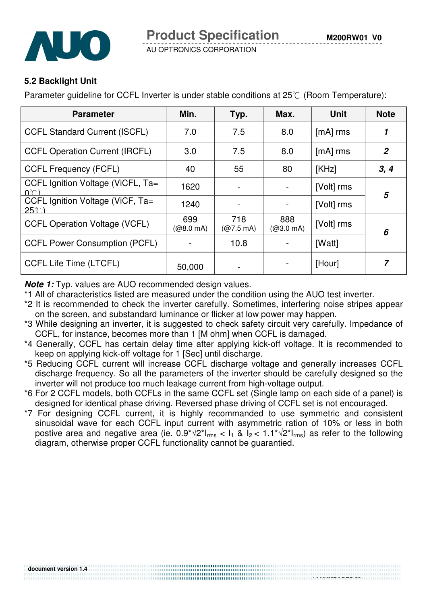



#### **5.2 Backlight Unit**

Parameter guideline for CCFL Inverter is under stable conditions at  $25^{\circ}$  (Room Temperature):

| <b>Parameter</b>                                 | Min.             | Typ.                       | Max.             | <b>Unit</b> | <b>Note</b>    |
|--------------------------------------------------|------------------|----------------------------|------------------|-------------|----------------|
| <b>CCFL Standard Current (ISCFL)</b>             | 7.0              | 7.5                        | 8.0              | $[mA]$ rms  |                |
| <b>CCFL Operation Current (IRCFL)</b>            | 3.0              | 7.5                        | 8.0              | $[mA]$ rms  | $\overline{2}$ |
| <b>CCFL Frequency (FCFL)</b>                     | 40               | 55                         | 80               | [KHz]       | 3, 4           |
| CCFL Ignition Voltage (ViCFL, Ta=<br>በ"∩ ነ       | 1620             |                            |                  | [Volt] rms  | 5              |
| CCFL Ignition Voltage (ViCF, Ta=<br>$25^{\circ}$ | 1240             |                            |                  | [Volt] rms  |                |
| <b>CCFL Operation Voltage (VCFL)</b>             | 699<br>(@8.0 mA) | 718<br>$(Q7.5 \text{ mA})$ | 888<br>(@3.0 mA) | [Volt] rms  | 6              |
| <b>CCFL Power Consumption (PCFL)</b>             |                  | 10.8                       |                  | [Watt]      |                |
| <b>CCFL Life Time (LTCFL)</b>                    | 50,000           |                            |                  | [Hour]      |                |

**Note 1:** Typ. values are AUO recommended design values.

- \*1 All of characteristics listed are measured under the condition using the AUO test inverter.
- \*2 It is recommended to check the inverter carefully. Sometimes, interfering noise stripes appear on the screen, and substandard luminance or flicker at low power may happen.
- \*3 While designing an inverter, it is suggested to check safety circuit very carefully. Impedance of CCFL, for instance, becomes more than 1 [M ohm] when CCFL is damaged.
- \*4 Generally, CCFL has certain delay time after applying kick-off voltage. It is recommended to keep on applying kick-off voltage for 1 [Sec] until discharge.
- \*5 Reducing CCFL current will increase CCFL discharge voltage and generally increases CCFL discharge frequency. So all the parameters of the inverter should be carefully designed so the inverter will not produce too much leakage current from high-voltage output.
- \*6 For 2 CCFL models, both CCFLs in the same CCFL set (Single lamp on each side of a panel) is designed for identical phase driving. Reversed phase driving of CCFL set is not encouraged.
- \*7 For designing CCFL current, it is highly recommanded to use symmetric and consistent sinusoidal wave for each CCFL input current with asymmetric ration of 10% or less in both postive area and negative area (ie.  $0.9^{\star}\sqrt{2}$ \* $I_{rms}$  <  $I_1$  &  $I_2$  <  $1.1^{\star}\sqrt{2}$ \* $I_{rms}$ ) as refer to the following diagram, otherwise proper CCFL functionality cannot be guarantied.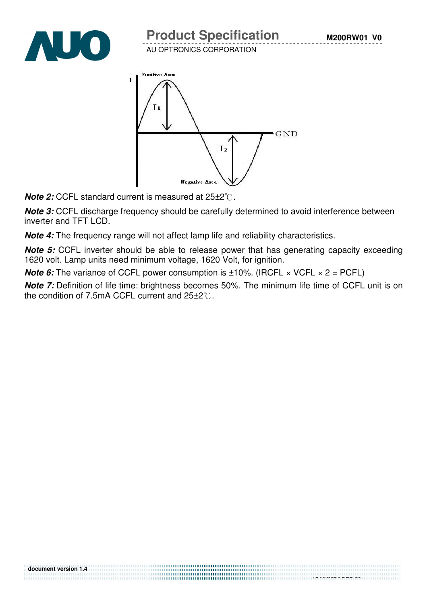



**Note 2: CCFL standard current is measured at 25±2<sup>°</sup>C.** 

**Note 3:** CCFL discharge frequency should be carefully determined to avoid interference between inverter and TFT LCD.

**Note 4:** The frequency range will not affect lamp life and reliability characteristics.

**Note 5:** CCFL inverter should be able to release power that has generating capacity exceeding 1620 volt. Lamp units need minimum voltage, 1620 Volt, for ignition.

**Note 6:** The variance of CCFL power consumption is  $\pm 10\%$ . (IRCFL  $\times$  VCFL  $\times$  2 = PCFL)

**Note 7:** Definition of life time: brightness becomes 50%. The minimum life time of CCFL unit is on the condition of 7.5mA CCFL current and  $25\pm2^{\circ}$ .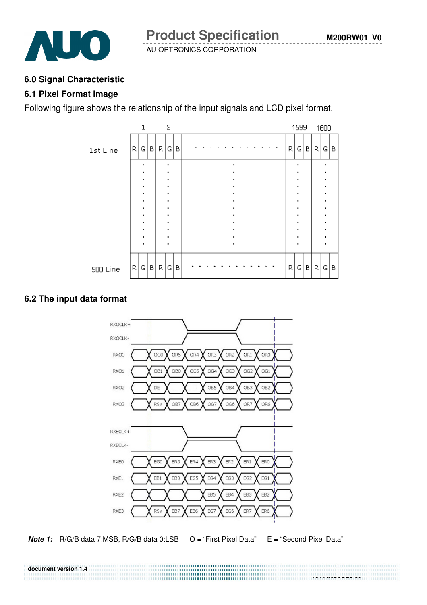

#### **6.0 Signal Characteristic**

#### **6.1 Pixel Format Image**

Following figure shows the relationship of the input signals and LCD pixel format.



#### **6.2 The input data format**





**document version 1.4 16 NUMPAGES 29**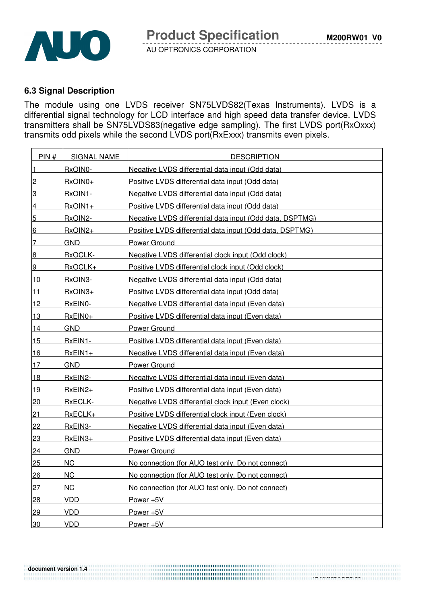

#### **6.3 Signal Description**

The module using one LVDS receiver SN75LVDS82(Texas Instruments). LVDS is a differential signal technology for LCD interface and high speed data transfer device. LVDS transmitters shall be SN75LVDS83(negative edge sampling). The first LVDS port(RxOxxx) transmits odd pixels while the second LVDS port(RxExxx) transmits even pixels.

| PIN#           | <b>SIGNAL NAME</b> | <b>DESCRIPTION</b>                                       |
|----------------|--------------------|----------------------------------------------------------|
| $\vert$ 1      | RxOIN0-            | Negative LVDS differential data input (Odd data)         |
| $\overline{2}$ | RxOIN0+            | Positive LVDS differential data input (Odd data)         |
| 3              | RxOIN1-            | Negative LVDS differential data input (Odd data)         |
| $\overline{4}$ | $RxOIN1+$          | Positive LVDS differential data input (Odd data)         |
| 5              | RxOIN2-            | Negative LVDS differential data input (Odd data, DSPTMG) |
| 6              | RxOIN2+            | Positive LVDS differential data input (Odd data, DSPTMG) |
| 7              | <b>GND</b>         | <b>Power Ground</b>                                      |
| 8              | RxOCLK-            | Negative LVDS differential clock input (Odd clock)       |
| 9              | RxOCLK+            | Positive LVDS differential clock input (Odd clock)       |
| 10             | RxOIN3-            | Negative LVDS differential data input (Odd data)         |
| 11             | $RxOIN3+$          | Positive LVDS differential data input (Odd data)         |
| 12             | RxEIN0-            | Negative LVDS differential data input (Even data)        |
| 13             | $RxEINO+$          | Positive LVDS differential data input (Even data)        |
| 14             | <b>GND</b>         | <b>Power Ground</b>                                      |
| 15             | RxEIN1-            | Positive LVDS differential data input (Even data)        |
| <u> 16</u>     | $RxEIN1+$          | Negative LVDS differential data input (Even data)        |
| 17             | <b>GND</b>         | Power Ground                                             |
| <u> 18</u>     | RxEIN2-            | Negative LVDS differential data input (Even data)        |
| 19             | $RxEIN2+$          | Positive LVDS differential data input (Even data)        |
| 20             | RxECLK-            | Negative LVDS differential clock input (Even clock)      |
| 21             | RxECLK+            | Positive LVDS differential clock input (Even clock)      |
| 22             | RxEIN3-            | Negative LVDS differential data input (Even data)        |
| 23             | $RxEIN3+$          | Positive LVDS differential data input (Even data)        |
| 24             | <b>GND</b>         | Power Ground                                             |
| 25             | <b>NC</b>          | No connection (for AUO test only. Do not connect)        |
| 26             | <b>NC</b>          | No connection (for AUO test only. Do not connect)        |
| 27             | <b>NC</b>          | No connection (for AUO test only. Do not connect)        |
| 28             | <b>VDD</b>         | Power +5V                                                |
| 29             | <b>VDD</b>         | Power +5V                                                |
| 30             | <b>VDD</b>         | Power +5V                                                |

**....................................**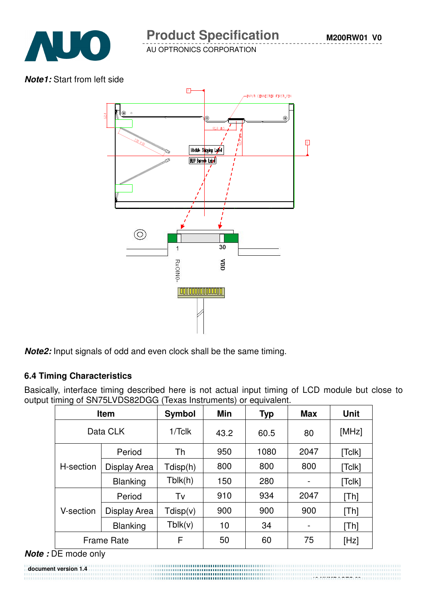

# **Product Specification**

AU OPTRONICS CORPORATION

#### **Note1:** Start from left side



**Note2:** Input signals of odd and even clock shall be the same timing.

#### **6.4 Timing Characteristics**

Basically, interface timing described here is not actual input timing of LCD module but close to output timing of SN75LVDS82DGG (Texas Instruments) or equivalent.

| <b>Item</b>       |                 | Symbol    | Min  | <b>Typ</b> | <b>Max</b> | <b>Unit</b> |
|-------------------|-----------------|-----------|------|------------|------------|-------------|
| Data CLK          |                 | $1/T$ clk | 43.2 | 60.5       | 80         | [MHz]       |
|                   | Period          | Th        | 950  | 1080       | 2047       | [Tc k]      |
| H-section         | Display Area    | Tdisp(h)  | 800  | 800        | 800        | [Tclk]      |
|                   | <b>Blanking</b> | Tblk(h)   | 150  | 280        |            | [Tc[k]      |
|                   | Period          | Tv        | 910  | 934        | 2047       | [Th]        |
| V-section         | Display Area    | Tdisp(v)  | 900  | 900        | 900        | [Th]        |
|                   | <b>Blanking</b> | Tblk(v)   | 10   | 34         |            | [Th]        |
| <b>Frame Rate</b> |                 | F         | 50   | 60         | 75         | [Hz]        |

#### **Note :** DE mode only

**document version 1.4**  18 NUMBER 18 NUMBER 18 NUMBER 18 NUMBER 18 NUMBER 18 NUMBER 18 NUMBER 18 NUMBER 18 NUMBER 18 NUMBER 18 NUMBER 1<br>18 NUMBER 18 NUMBER 18 NUMBER 18 NUMBER 18 NUMBER 18 NUMBER 18 NUMBER 18 NUMBER 18 NUMBER 18 NUMBER 18 NUMBER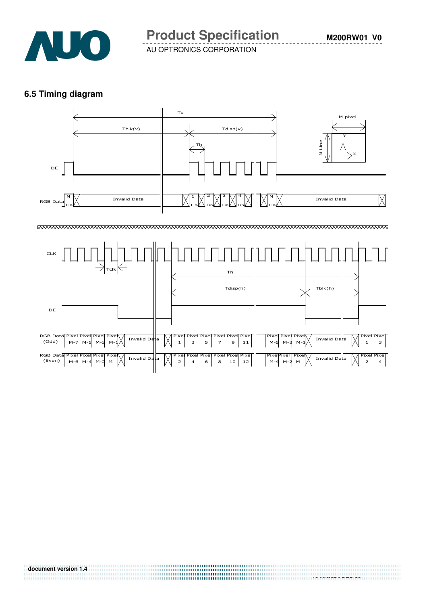

#### **6.5 Timing diagram**

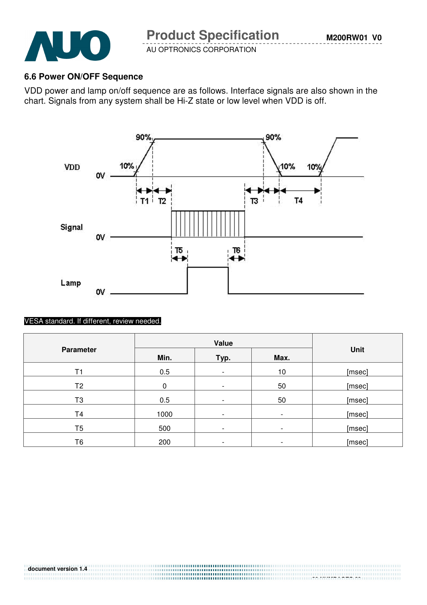

#### **6.6 Power ON/OFF Sequence**

VDD power and lamp on/off sequence are as follows. Interface signals are also shown in the chart. Signals from any system shall be Hi-Z state or low level when VDD is off.



#### VESA standard. If different, review needed.

|                  | Value |                          |                          |        |
|------------------|-------|--------------------------|--------------------------|--------|
| <b>Parameter</b> | Min.  | Typ.                     | Max.                     | Unit   |
| Τ1               | 0.5   | $\overline{\phantom{a}}$ | 10                       | [msec] |
| T <sub>2</sub>   | 0     | $\overline{\phantom{a}}$ | 50                       | [msec] |
| T <sub>3</sub>   | 0.5   | $\overline{\phantom{a}}$ | 50                       | [msec] |
| T <sub>4</sub>   | 1000  | $\overline{\phantom{a}}$ | $\overline{\phantom{a}}$ | [msec] |
| T <sub>5</sub>   | 500   | $\overline{\phantom{0}}$ | ۰                        | [msec] |
| T6               | 200   | $\overline{\phantom{a}}$ | -                        | [msec] |

 **20 NUMPAGES 29**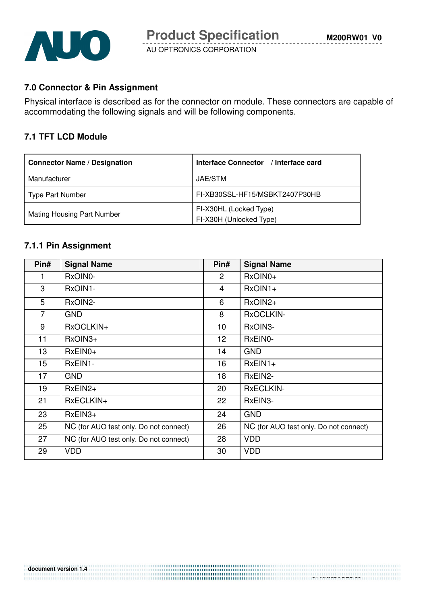

#### **7.0 Connector & Pin Assignment**

Physical interface is described as for the connector on module. These connectors are capable of accommodating the following signals and will be following components.

#### **7.1 TFT LCD Module**

| <b>Connector Name / Designation</b> | Interface Connector / Interface card              |
|-------------------------------------|---------------------------------------------------|
| Manufacturer                        | JAE/STM                                           |
| <b>Type Part Number</b>             | FI-XB30SSL-HF15/MSBKT2407P30HB                    |
| <b>Mating Housing Part Number</b>   | FI-X30HL (Locked Type)<br>FI-X30H (Unlocked Type) |

#### **7.1.1 Pin Assignment**

| Pin#           | <b>Signal Name</b>                     | Pin#            | <b>Signal Name</b>                     |
|----------------|----------------------------------------|-----------------|----------------------------------------|
| 1.             | RxOIN0-                                | 2               | RxOIN0+                                |
| 3              | RxOIN1-                                | 4               | $RxOIN1+$                              |
| 5              | RxOIN2-                                | 6               | RxOIN2+                                |
| $\overline{7}$ | <b>GND</b>                             | 8               | RxOCLKIN-                              |
| 9              | RxOCLKIN+                              | 10              | RxOIN3-                                |
| 11             | RxOIN3+                                | 12 <sub>2</sub> | RxEIN0-                                |
| 13             | $RxEINO+$                              | 14              | <b>GND</b>                             |
| 15             | RxEIN1-                                | 16              | $RxEIN1+$                              |
| 17             | <b>GND</b>                             | 18              | RxEIN2-                                |
| 19             | $RxEIN2+$                              | 20              | <b>RxECLKIN-</b>                       |
| 21             | RxECLKIN+                              | 22              | RxEIN3-                                |
| 23             | $RxEIN3+$                              | 24              | <b>GND</b>                             |
| 25             | NC (for AUO test only. Do not connect) | 26              | NC (for AUO test only. Do not connect) |
| 27             | NC (for AUO test only. Do not connect) | 28              | <b>VDD</b>                             |
| 29             | <b>VDD</b>                             | 30              | <b>VDD</b>                             |

 **21 NUMPAGES 29**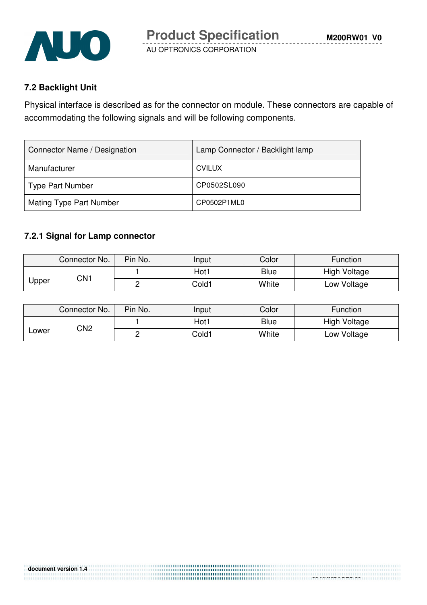

#### **7.2 Backlight Unit**

Physical interface is described as for the connector on module. These connectors are capable of accommodating the following signals and will be following components.

| Connector Name / Designation   | Lamp Connector / Backlight lamp |
|--------------------------------|---------------------------------|
| Manufacturer                   | <b>CVILUX</b>                   |
| <b>Type Part Number</b>        | CP0502SL090                     |
| <b>Mating Type Part Number</b> | CP0502P1ML0                     |

#### **7.2.1 Signal for Lamp connector**

|       | Connector No.   | Pin No. | Input | Color       | Function     |
|-------|-----------------|---------|-------|-------------|--------------|
| Jpper | CN <sub>1</sub> |         | Hot 1 | <b>Blue</b> | High Voltage |
|       |                 |         | Cold1 | White       | Low Voltage  |

|       | Connector No. | Pin No. | Input | Color       | Function     |
|-------|---------------|---------|-------|-------------|--------------|
| Lower | CN2           |         | Hot1  | <b>Blue</b> | High Voltage |
|       |               |         | Cold1 | White       | Low Voltage  |

 **22 NUMPAGES 29**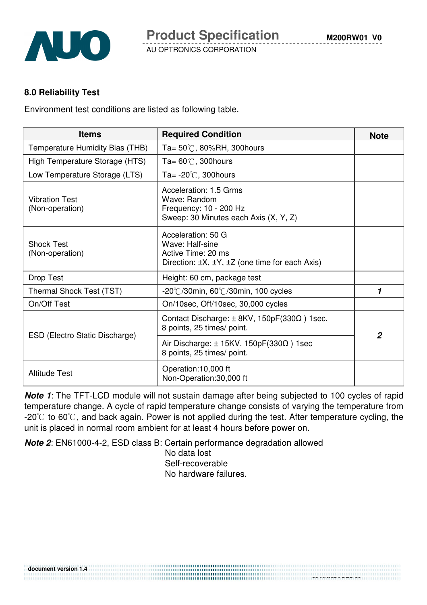

#### **8.0 Reliability Test**

**document version 1.4** 

Environment test conditions are listed as following table.

| <b>Items</b>                             | <b>Required Condition</b>                                                                                                      | <b>Note</b>    |
|------------------------------------------|--------------------------------------------------------------------------------------------------------------------------------|----------------|
| Temperature Humidity Bias (THB)          | Ta= $50^{\circ}$ C, 80%RH, 300 hours                                                                                           |                |
| High Temperature Storage (HTS)           | Ta= $60^{\circ}$ C, 300 hours                                                                                                  |                |
| Low Temperature Storage (LTS)            | Ta= $-20^{\circ}$ C, 300 hours                                                                                                 |                |
| <b>Vibration Test</b><br>(Non-operation) | Acceleration: 1.5 Grms<br>Wave: Random<br>Frequency: 10 - 200 Hz<br>Sweep: 30 Minutes each Axis (X, Y, Z)                      |                |
| <b>Shock Test</b><br>(Non-operation)     | Acceleration: 50 G<br>Wave: Half-sine<br>Active Time: 20 ms<br>Direction: $\pm X$ , $\pm Y$ , $\pm Z$ (one time for each Axis) |                |
| Drop Test                                | Height: 60 cm, package test                                                                                                    |                |
| Thermal Shock Test (TST)                 | $-20^{\circ}$ C/30min, 60 $^{\circ}$ C/30min, 100 cycles                                                                       | 1              |
| On/Off Test                              | On/10sec, Off/10sec, 30,000 cycles                                                                                             |                |
| ESD (Electro Static Discharge)           | Contact Discharge: $\pm$ 8KV, 150pF(330 $\Omega$ ) 1sec,<br>8 points, 25 times/ point.                                         | $\overline{2}$ |
|                                          | Air Discharge: $\pm$ 15KV, 150pF(330 $\Omega$ ) 1sec<br>8 points, 25 times/ point.                                             |                |
| <b>Altitude Test</b>                     | Operation:10,000 ft<br>Non-Operation:30,000 ft                                                                                 |                |

**Note 1**: The TFT-LCD module will not sustain damage after being subjected to 100 cycles of rapid temperature change. A cycle of rapid temperature change consists of varying the temperature from  $-20^{\circ}$  to 60°C, and back again. Power is not applied during the test. After temperature cycling, the unit is placed in normal room ambient for at least 4 hours before power on.

**Note 2**: EN61000-4-2, ESD class B: Certain performance degradation allowed

No data lost Self-recoverable No hardware failures.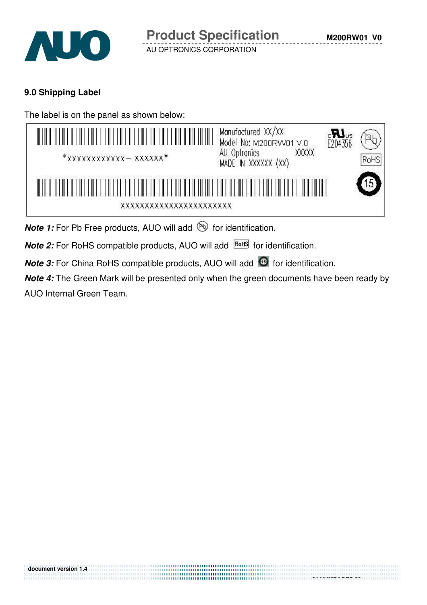

#### **9.0 Shipping Label**

The label is on the panel as shown below:

| A TIRIK DE ILE SE E ILE TIRI FEBRUARI DI ELE TIRI FEBRUARI DI LA TIRI DI LA TIRI DI LA TIRI DI LA TIRI<br>$*$ xxxxxxxxxxxx - xxxxxx $*$         | Manufactured XX/XX<br>E204356<br>Model No: M200RW01 V.0<br>XXXXX<br>AU Optronics<br>MADE IN XXXXXX (XX) | RoHS |
|-------------------------------------------------------------------------------------------------------------------------------------------------|---------------------------------------------------------------------------------------------------------|------|
| <u>MENTE NELLE LE NE EN LE LITE LE LE LITE LITE LITE LE NEU NE LITE LITE LITE LITE NE LITE LITE LITE LITE LE NEUM</u><br>xxxxxxxxxxxxxxxxxxxxxx |                                                                                                         |      |

**Note 1:** For Pb Free products, AUO will add **but for identification**.

**Note 2:** For RoHS compatible products, AUO will add **ROHS** for identification.

**Note 3:** For China RoHS compatible products, AUO will add **for identification**.

**Note 4:** The Green Mark will be presented only when the green documents have been ready by AUO Internal Green Team.